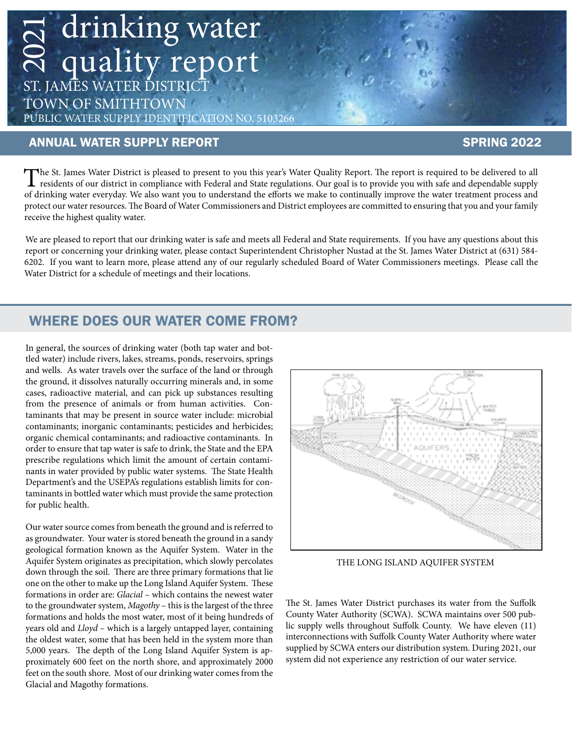# $\sum_{i=1}^{\infty}$  drinking water quality report ST. JAMES WATER DISTRICT

TOWN OF SMITHTOWN PUBLIC WATER SUPPLY IDENTIFICATION NO. 5103266

#### ANNUAL WATER SUPPLY REPORT SPRING 2022

The St. James Water District is pleased to present to you this year's Water Quality Report. The report is required to be delivered to all<br>residents of our district in compliance with Federal and State regulations. Our goal of drinking water everyday. We also want you to understand the efforts we make to continually improve the water treatment process and protect our water resources. The Board of Water Commissioners and District employees are committed to ensuring that you and your family receive the highest quality water.

We are pleased to report that our drinking water is safe and meets all Federal and State requirements. If you have any questions about this report or concerning your drinking water, please contact Superintendent Christophe We are pleased to report that our drinking water is safe and meets all Federal and State requirements. If you have any questions about this 6202. If you want to learn more, please attend any of our regularly scheduled Board of Water Commissioners meetings. Please call the Water District for a schedule of meetings and their locations.

### WHERE DOES OUR WATER COME FROM?

In general, the sources of drinking water (both tap water and bottled water) include rivers, lakes, streams, ponds, reservoirs, springs and wells. As water travels over the surface of the land or through the ground, it dissolves naturally occurring minerals and, in some cases, radioactive material, and can pick up substances resulting from the presence of animals or from human activities. Contaminants that may be present in source water include: microbial contaminants; inorganic contaminants; pesticides and herbicides; organic chemical contaminants; and radioactive contaminants. In order to ensure that tap water is safe to drink, the State and the EPA prescribe regulations which limit the amount of certain contaminants in water provided by public water systems. The State Health Department's and the USEPA's regulations establish limits for contaminants in bottled water which must provide the same protection for public health.

Our water source comes from beneath the ground and is referred to as groundwater. Your water is stored beneath the ground in a sandy geological formation known as the Aquifer System. Water in the Aquifer System originates as precipitation, which slowly percolates down through the soil. There are three primary formations that lie one on the other to make up the Long Island Aquifer System. These formations in order are: *Glacial* – which contains the newest water to the groundwater system, *Magothy* – this is the largest of the three formations and holds the most water, most of it being hundreds of years old and *Lloyd* – which is a largely untapped layer, containing the oldest water, some that has been held in the system more than 5,000 years. The depth of the Long Island Aquifer System is approximately 600 feet on the north shore, and approximately 2000 feet on the south shore. Most of our drinking water comes from the Glacial and Magothy formations.



THE LONG ISLAND AQUIFER SYSTEM

The St. James Water District purchases its water from the Suffolk County Water Authority (SCWA). SCWA maintains over 500 public supply wells throughout Suffolk County. We have eleven (11) interconnections with Suffolk County Water Authority where water supplied by SCWA enters our distribution system. During 2021, our system did not experience any restriction of our water service.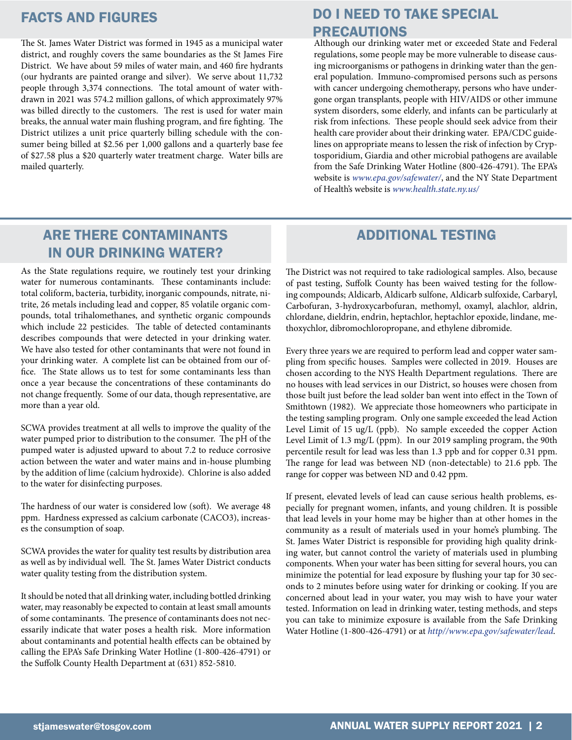The St. James Water District was formed in 1945 as a municipal water district, and roughly covers the same boundaries as the St James Fire District. We have about 59 miles of water main, and 460 fire hydrants (our hydrants are painted orange and silver). We serve about 11,732 people through 3,374 connections. The total amount of water withdrawn in 2021 was 574.2 million gallons, of which approximately 97% was billed directly to the customers. The rest is used for water main breaks, the annual water main flushing program, and fire fighting. The District utilizes a unit price quarterly billing schedule with the consumer being billed at \$2.56 per 1,000 gallons and a quarterly base fee of \$27.58 plus a \$20 quarterly water treatment charge. Water bills are mailed quarterly.

### FACTS AND FIGURES DO I NEED TO TAKE SPECIAL PRECAUTIONS

Although our drinking water met or exceeded State and Federal regulations, some people may be more vulnerable to disease causing microorganisms or pathogens in drinking water than the general population. Immuno-compromised persons such as persons with cancer undergoing chemotherapy, persons who have undergone organ transplants, people with HIV/AIDS or other immune system disorders, some elderly, and infants can be particularly at risk from infections. These people should seek advice from their health care provider about their drinking water. EPA/CDC guidelines on appropriate means to lessen the risk of infection by Cryptosporidium, Giardia and other microbial pathogens are available from the Safe Drinking Water Hotline (800-426-4791). The EPA's website is *www.epa.gov/safewater/*, and the NY State Department of Health's website is *www.health.state.ny.us/*

## ARE THERE CONTAMINANTS IN OUR DRINKING WATER?

As the State regulations require, we routinely test your drinking water for numerous contaminants. These contaminants include: total coliform, bacteria, turbidity, inorganic compounds, nitrate, nitrite, 26 metals including lead and copper, 85 volatile organic compounds, total trihalomethanes, and synthetic organic compounds which include 22 pesticides. The table of detected contaminants describes compounds that were detected in your drinking water. We have also tested for other contaminants that were not found in your drinking water. A complete list can be obtained from our office. The State allows us to test for some contaminants less than once a year because the concentrations of these contaminants do not change frequently. Some of our data, though representative, are more than a year old.

SCWA provides treatment at all wells to improve the quality of the water pumped prior to distribution to the consumer. The pH of the pumped water is adjusted upward to about 7.2 to reduce corrosive action between the water and water mains and in-house plumbing by the addition of lime (calcium hydroxide). Chlorine is also added to the water for disinfecting purposes.

The hardness of our water is considered low (soft). We average 48 ppm. Hardness expressed as calcium carbonate (CACO3), increases the consumption of soap.

SCWA provides the water for quality test results by distribution area as well as by individual well. The St. James Water District conducts water quality testing from the distribution system.

It should be noted that all drinking water, including bottled drinking water, may reasonably be expected to contain at least small amounts of some contaminants. The presence of contaminants does not necessarily indicate that water poses a health risk. More information about contaminants and potential health effects can be obtained by calling the EPA's Safe Drinking Water Hotline (1-800-426-4791) or the Suffolk County Health Department at (631) 852-5810.

#### ADDITIONAL TESTING

The District was not required to take radiological samples. Also, because of past testing, Suffolk County has been waived testing for the following compounds; Aldicarb, Aldicarb sulfone, Aldicarb sulfoxide, Carbaryl, Carbofuran, 3-hydroxycarbofuran, methomyl, oxamyl, alachlor, aldrin, chlordane, dieldrin, endrin, heptachlor, heptachlor epoxide, lindane, methoxychlor, dibromochloropropane, and ethylene dibromide.

Every three years we are required to perform lead and copper water sampling from specific houses. Samples were collected in 2019. Houses are chosen according to the NYS Health Department regulations. There are no houses with lead services in our District, so houses were chosen from those built just before the lead solder ban went into effect in the Town of Smithtown (1982). We appreciate those homeowners who participate in the testing sampling program. Only one sample exceeded the lead Action Level Limit of 15 ug/L (ppb). No sample exceeded the copper Action Level Limit of 1.3 mg/L (ppm). In our 2019 sampling program, the 90th percentile result for lead was less than 1.3 ppb and for copper 0.31 ppm. The range for lead was between ND (non-detectable) to 21.6 ppb. The range for copper was between ND and 0.42 ppm.

If present, elevated levels of lead can cause serious health problems, especially for pregnant women, infants, and young children. It is possible that lead levels in your home may be higher than at other homes in the community as a result of materials used in your home's plumbing. The St. James Water District is responsible for providing high quality drinking water, but cannot control the variety of materials used in plumbing components. When your water has been sitting for several hours, you can minimize the potential for lead exposure by flushing your tap for 30 seconds to 2 minutes before using water for drinking or cooking. If you are concerned about lead in your water, you may wish to have your water tested. Information on lead in drinking water, testing methods, and steps you can take to minimize exposure is available from the Safe Drinking Water Hotline (1-800-426-4791) or at *http//www.epa.gov/safewater/lead.*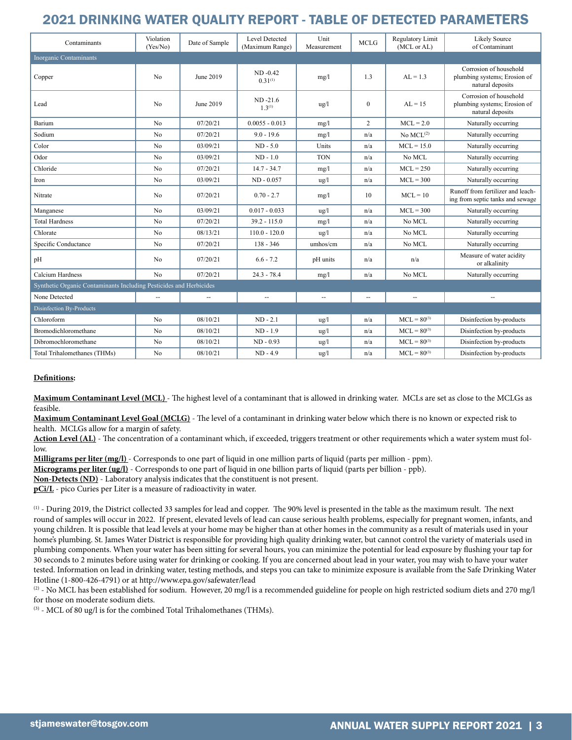#### 2021 DRINKING WATER QUALITY REPORT - TABLE OF DETECTED PARAMETERS

| Contaminants                                                       | Violation<br>(Yes/No) | Date of Sample | <b>Level Detected</b><br>(Maximum Range) | Unit<br>Measurement | <b>MCLG</b>              | Regulatory Limit<br>(MCL or AL) | Likely Source<br>of Contaminant                                            |
|--------------------------------------------------------------------|-----------------------|----------------|------------------------------------------|---------------------|--------------------------|---------------------------------|----------------------------------------------------------------------------|
| Inorganic Contaminants                                             |                       |                |                                          |                     |                          |                                 |                                                                            |
| Copper                                                             | No                    | June 2019      | $ND -0.42$<br>$0.31^{(1)}$               | mg/l                | 1.3                      | $AL = 1.3$                      | Corrosion of household<br>plumbing systems; Erosion of<br>natural deposits |
| Lead                                                               | N <sub>0</sub>        | June 2019      | $ND -21.6$<br>$1.3^{(1)}$                | $\frac{u}{g}$       | $\mathbf{0}$             | $AI = 15$                       | Corrosion of household<br>plumbing systems; Erosion of<br>natural deposits |
| Barium                                                             | No                    | 07/20/21       | $0.0055 - 0.013$                         | mg/l                | $\overline{c}$           | $MCL = 2.0$                     | Naturally occurring                                                        |
| Sodium                                                             | N <sub>0</sub>        | 07/20/21       | $9.0 - 19.6$                             | mg/l                | n/a                      | No $MCL^{(2)}$                  | Naturally occurring                                                        |
| Color                                                              | No                    | 03/09/21       | $ND - 5.0$                               | Units               | n/a                      | $MCL = 15.0$                    | Naturally occurring                                                        |
| Odor                                                               | N <sub>0</sub>        | 03/09/21       | $ND - 1.0$                               | <b>TON</b>          | n/a                      | No MCL                          | Naturally occurring                                                        |
| Chloride                                                           | N <sub>0</sub>        | 07/20/21       | $14.7 - 34.7$                            | mg/l                | n/a                      | $MCL = 250$                     | Naturally occurring                                                        |
| Iron                                                               | N <sub>0</sub>        | 03/09/21       | $ND - 0.057$                             | ug/l                | n/a                      | $MCL = 300$                     | Naturally occurring                                                        |
| Nitrate                                                            | N <sub>0</sub>        | 07/20/21       | $0.70 - 2.7$                             | mg/l                | 10                       | $MCL = 10$                      | Runoff from fertilizer and leach-<br>ing from septic tanks and sewage      |
| Manganese                                                          | N <sub>0</sub>        | 03/09/21       | $0.017 - 0.033$                          | $\frac{u}{g}$       | n/a                      | $MCL = 300$                     | Naturally occurring                                                        |
| <b>Total Hardness</b>                                              | N <sub>0</sub>        | 07/20/21       | $39.2 - 115.0$                           | mg/l                | n/a                      | No MCL                          | Naturally occurring                                                        |
| Chlorate                                                           | N <sub>0</sub>        | 08/13/21       | $110.0 - 120.0$                          | $\frac{u g}{l}$     | n/a                      | No MCL                          | Naturally occurring                                                        |
| Specific Conductance                                               | No                    | 07/20/21       | $138 - 346$                              | umhos/cm            | n/a                      | No MCL                          | Naturally occurring                                                        |
| pH                                                                 | No                    | 07/20/21       | $6.6 - 7.2$                              | pH units            | n/a                      | n/a                             | Measure of water acidity<br>or alkalinity                                  |
| <b>Calcium Hardness</b>                                            | No                    | 07/20/21       | $24.3 - 78.4$                            | mg/l                | n/a                      | No MCL                          | Naturally occurring                                                        |
| Synthetic Organic Contaminants Including Pesticides and Herbicides |                       |                |                                          |                     |                          |                                 |                                                                            |
| None Detected                                                      | $\overline{a}$        |                | $\overline{\phantom{a}}$                 | $\sim$              | $\overline{\phantom{a}}$ | $\overline{a}$                  |                                                                            |
| Disinfection By-Products                                           |                       |                |                                          |                     |                          |                                 |                                                                            |
| Chloroform                                                         | N <sub>0</sub>        | 08/10/21       | $ND - 2.1$                               | $\frac{u}{g}$       | n/a                      | $MCL = 80^{(3)}$                | Disinfection by-products                                                   |
| Bromodichloromethane                                               | No                    | 08/10/21       | $ND - 1.9$                               | $\frac{u}{g}$       | n/a                      | $MCL = 80^{(3)}$                | Disinfection by-products                                                   |
| Dibromochloromethane                                               | N <sub>o</sub>        | 08/10/21       | $ND - 0.93$                              | ug/l                | n/a                      | $MCL = 80^{(3)}$                | Disinfection by-products                                                   |
| Total Trihalomethanes (THMs)                                       | N <sub>0</sub>        | 08/10/21       | $ND - 4.9$                               | $\frac{u g}{l}$     | n/a                      | $MCL = 80^{(3)}$                | Disinfection by-products                                                   |

#### **Definitions:**

**Maximum Contaminant Level (MCL)** - The highest level of a contaminant that is allowed in drinking water. MCLs are set as close to the MCLGs as feasible.

**Maximum Contaminant Level Goal (MCLG)** - The level of a contaminant in drinking water below which there is no known or expected risk to health. MCLGs allow for a margin of safety.

Action Level (AL) - The concentration of a contaminant which, if exceeded, triggers treatment or other requirements which a water system must follow.

**Milligrams per liter (mg/l)** - Corresponds to one part of liquid in one million parts of liquid (parts per million - ppm).

**Micrograms per liter (ug/l)** - Corresponds to one part of liquid in one billion parts of liquid (parts per billion - ppb).

**Non-Detects (ND)** - Laboratory analysis indicates that the constituent is not present.

**pCi/L** - pico Curies per Liter is a measure of radioactivity in water.

(1) - During 2019, the District collected 33 samples for lead and copper. The 90% level is presented in the table as the maximum result. The next round of samples will occur in 2022. If present, elevated levels of lead can cause serious health problems, especially for pregnant women, infants, and young children. It is possible that lead levels at your home may be higher than at other homes in the community as a result of materials used in your home's plumbing. St. James Water District is responsible for providing high quality drinking water, but cannot control the variety of materials used in plumbing components. When your water has been sitting for several hours, you can minimize the potential for lead exposure by flushing your tap for 30 seconds to 2 minutes before using water for drinking or cooking. If you are concerned about lead in your water, you may wish to have your water tested. Information on lead in drinking water, testing methods, and steps you can take to minimize exposure is available from the Safe Drinking Water Hotline (1-800-426-4791) or at http://www.epa.gov/safewater/lead

 $(2)$  - No MCL has been established for sodium. However, 20 mg/l is a recommended guideline for people on high restricted sodium diets and 270 mg/l for those on moderate sodium diets.

(3) - MCL of 80 ug/l is for the combined Total Trihalomethanes (THMs).